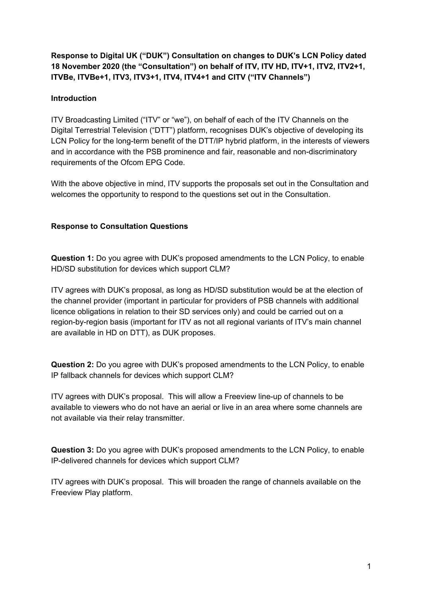**Response to Digital UK ("DUK") Consultation on changes to DUK's LCN Policy dated 18 November 2020 (the "Consultation") on behalf of ITV, ITV HD, ITV+1, ITV2, ITV2+1, ITVBe, ITVBe+1, ITV3, ITV3+1, ITV4, ITV4+1 and CITV ("ITV Channels")**

## **Introduction**

ITV Broadcasting Limited ("ITV" or "we"), on behalf of each of the ITV Channels on the Digital Terrestrial Television ("DTT") platform, recognises DUK's objective of developing its LCN Policy for the long-term benefit of the DTT/IP hybrid platform, in the interests of viewers and in accordance with the PSB prominence and fair, reasonable and non-discriminatory requirements of the Ofcom EPG Code.

With the above objective in mind, ITV supports the proposals set out in the Consultation and welcomes the opportunity to respond to the questions set out in the Consultation.

## **Response to Consultation Questions**

**Question 1:** Do you agree with DUK's proposed amendments to the LCN Policy, to enable HD/SD substitution for devices which support CLM?

ITV agrees with DUK's proposal, as long as HD/SD substitution would be at the election of the channel provider (important in particular for providers of PSB channels with additional licence obligations in relation to their SD services only) and could be carried out on a region-by-region basis (important for ITV as not all regional variants of ITV's main channel are available in HD on DTT), as DUK proposes.

**Question 2:** Do you agree with DUK's proposed amendments to the LCN Policy, to enable IP fallback channels for devices which support CLM?

ITV agrees with DUK's proposal. This will allow a Freeview line-up of channels to be available to viewers who do not have an aerial or live in an area where some channels are not available via their relay transmitter.

**Question 3:** Do you agree with DUK's proposed amendments to the LCN Policy, to enable IP-delivered channels for devices which support CLM?

ITV agrees with DUK's proposal. This will broaden the range of channels available on the Freeview Play platform.